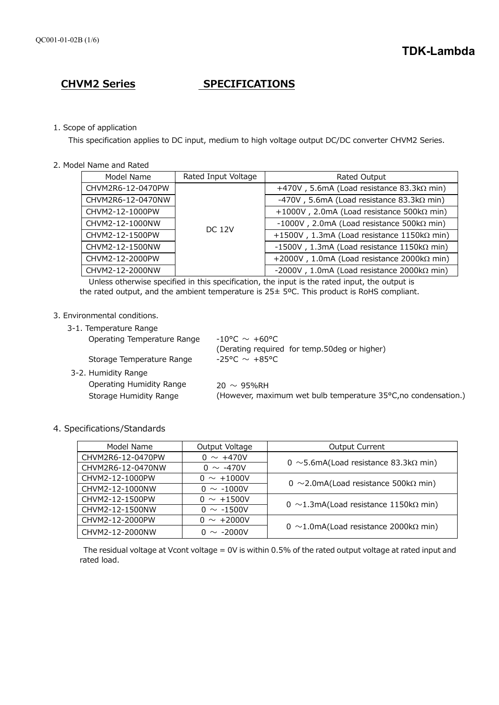# **CHVM2 Series SPECIFICATIONS**

# 1. Scope of application

This specification applies to DC input, medium to high voltage output DC/DC converter CHVM2 Series.

2. Model Name and Rated

| Model Name        | Rated Input Voltage | Rated Output                                             |
|-------------------|---------------------|----------------------------------------------------------|
| CHVM2R6-12-0470PW | <b>DC 12V</b>       | +470V, 5.6mA (Load resistance $83.3 \text{k}\Omega$ min) |
| CHVM2R6-12-0470NW |                     | -470V, 5.6mA (Load resistance $83.3 \text{k}\Omega$ min) |
| CHVM2-12-1000PW   |                     | +1000V, 2.0mA (Load resistance 500k $\Omega$ min)        |
| CHVM2-12-1000NW   |                     | $-1000V$ , 2.0mA (Load resistance 500k $\Omega$ min)     |
| CHVM2-12-1500PW   |                     | +1500V, 1.3mA (Load resistance $1150k\Omega$ min)        |
| CHVM2-12-1500NW   |                     | -1500V, 1.3mA (Load resistance $1150k\Omega$ min)        |
| CHVM2-12-2000PW   |                     | +2000V, 1.0mA (Load resistance 2000k $\Omega$ min)       |
| CHVM2-12-2000NW   |                     | -2000V, 1.0mA (Load resistance 2000k $\Omega$ min)       |

 Unless otherwise specified in this specification, the input is the rated input, the output is the rated output, and the ambient temperature is 25± 5ºC. This product is RoHS compliant.

# 3. Environmental conditions.

3-1. Temperature Range

| Operating Temperature Range<br>Storage Temperature Range | $-10^{\circ}$ C $\sim$ +60°C.<br>(Derating required for temp.50deg or higher)<br>$-25^{\circ}$ C $\sim$ $+85^{\circ}$ C |
|----------------------------------------------------------|-------------------------------------------------------------------------------------------------------------------------|
| 3-2. Humidity Range                                      |                                                                                                                         |
| Operating Humidity Range<br>Storage Humidity Range       | $20 \sim 95\%$ RH<br>(However, maximum wet bulb temperature 35°C,no condensation.)                                      |
|                                                          |                                                                                                                         |

# 4. Specifications/Standards

| Model Name        | Output Voltage  | <b>Output Current</b>                        |  |
|-------------------|-----------------|----------------------------------------------|--|
| CHVM2R6-12-0470PW | $0 \sim +470V$  |                                              |  |
| CHVM2R6-12-0470NW | $0 \sim -470V$  | 0 ~5.6mA(Load resistance 83.3k $\Omega$ min) |  |
| CHVM2-12-1000PW   | $0 \sim +1000V$ |                                              |  |
| CHVM2-12-1000NW   | $0 \sim -1000V$ | 0 ~2.0mA(Load resistance 500k $\Omega$ min)  |  |
| CHVM2-12-1500PW   | $0 \sim +1500V$ | 0 ~1.3mA(Load resistance 1150k $\Omega$ min) |  |
| CHVM2-12-1500NW   | $0 \sim -1500V$ |                                              |  |
| CHVM2-12-2000PW   | $0 \sim +2000V$ | 0 ~1.0mA(Load resistance 2000k $\Omega$ min) |  |
| CHVM2-12-2000NW   | $0 \sim -2000V$ |                                              |  |

The residual voltage at Vcont voltage = 0V is within 0.5% of the rated output voltage at rated input and rated load.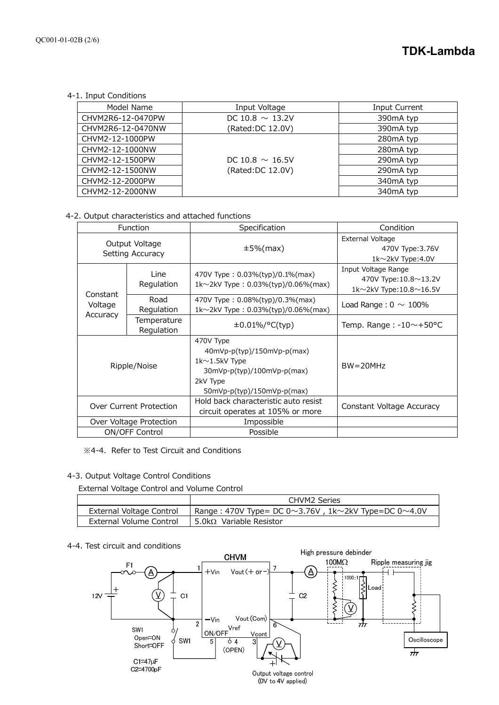4-1. Input Conditions

| Model Name        | Input Voltage        | <b>Input Current</b> |
|-------------------|----------------------|----------------------|
| CHVM2R6-12-0470PW | DC 10.8 $\sim$ 13.2V | 390mA typ            |
| CHVM2R6-12-0470NW | (Rated:DC 12.0V)     | 390mA typ            |
| CHVM2-12-1000PW   |                      | 280mA typ            |
| CHVM2-12-1000NW   |                      | 280mA typ            |
| CHVM2-12-1500PW   | DC 10.8 $\sim$ 16.5V | 290mA typ            |
| CHVM2-12-1500NW   | (Rated: DC 12.0V)    | 290mA typ            |
| CHVM2-12-2000PW   |                      | 340mA typ            |
| CHVM2-12-2000NW   |                      | 340mA typ            |

4-2. Output characteristics and attached functions

| Function                                                        |                           | Specification                                                                                                                           | Condition                                                                            |
|-----------------------------------------------------------------|---------------------------|-----------------------------------------------------------------------------------------------------------------------------------------|--------------------------------------------------------------------------------------|
| Output Voltage<br>Setting Accuracy                              |                           | $\pm 5\%$ (max)                                                                                                                         | External Voltage<br>470V Type: 3.76V<br>$1k \sim 2kV$ Type: 4.0V                     |
| Line<br>Regulation<br>Constant<br>Road<br>Voltage<br>Regulation |                           | 470V Type: 0.03%(typ)/0.1%(max)<br>1k $\sim$ 2kV Type: 0.03%(typ)/0.06%(max)                                                            | Input Voltage Range<br>470V Type:10.8~13.2V<br>1k $\sim$ 2kV Type: 10.8 $\sim$ 16.5V |
|                                                                 |                           | 470V Type: 0.08%(typ)/0.3%(max)<br>1k $\sim$ 2kV Type: 0.03%(typ)/0.06%(max)                                                            | Load Range: $0 \sim 100\%$                                                           |
| Accuracy                                                        | Temperature<br>Regulation | $\pm 0.01\%/°C(typ)$                                                                                                                    | Temp. Range: $-10$ $\sim$ +50 °C                                                     |
| Ripple/Noise                                                    |                           | 470V Type<br>$40mVp-p(typ)/150mVp-p(max)$<br>$1k1.5kV$ Type<br>$30mVp-p(typ)/100mVp-p(max)$<br>2kV Type<br>$50mVp-p(typ)/150mVp-p(max)$ | $BW = 20MHz$                                                                         |
| Over Current Protection                                         |                           | Hold back characteristic auto resist<br>circuit operates at 105% or more                                                                | Constant Voltage Accuracy                                                            |
| Over Voltage Protection                                         |                           | Impossible                                                                                                                              |                                                                                      |
| ON/OFF Control                                                  |                           | Possible                                                                                                                                |                                                                                      |

※4-4. Refer to Test Circuit and Conditions

# 4-3. Output Voltage Control Conditions

External Voltage Control and Volume Control

|                          | CHVM2 Series                                                              |
|--------------------------|---------------------------------------------------------------------------|
| External Voltage Control | Range : 470V Type= DC 0 $\sim$ 3.76V, 1k $\sim$ 2kV Type=DC 0 $\sim$ 4.0V |
| External Volume Control  | 5.0k $\Omega$ Variable Resistor                                           |

# 4-4. Test circuit and conditions

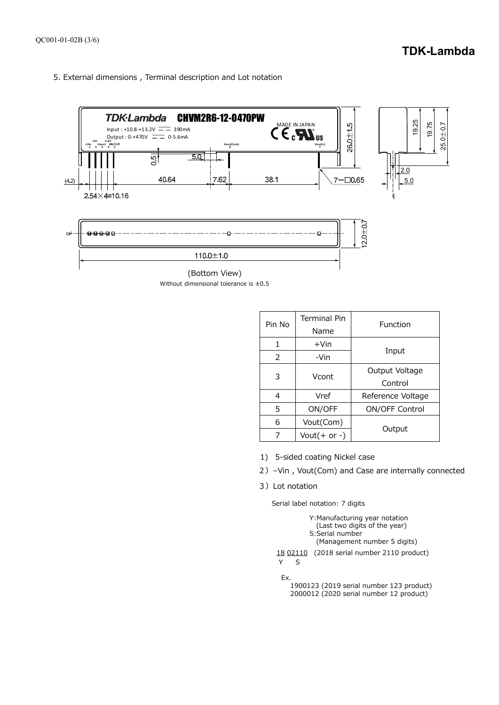5. External dimensions , Terminal description and Lot notation



Without dimensional tolerance is ±0.5 (Bottom View)

| Pin No | <b>Terminal Pin</b><br>Name | Function          |
|--------|-----------------------------|-------------------|
| 1      | $+V$ in                     |                   |
| 2      | -Vin                        | Input             |
| 3      | Vcont                       | Output Voltage    |
|        |                             | Control           |
| 4      | Vref                        | Reference Voltage |
| 5      | ON/OFF                      | ON/OFF Control    |
| 6      | Vout(Com)                   |                   |
|        | Vout $(+$ or -)             | Output            |

- 1) 5-sided coating Nickel case
- 2)–Vin , Vout(Com) and Case are internally connected
- 3)Lot notation

Serial label notation: 7 digits

| Y: Manufacturing year notation<br>(Last two digits of the year)<br>S:Serial number<br>(Management number 5 digits) |
|--------------------------------------------------------------------------------------------------------------------|
| 18 02110 (2018 serial number 2110 product)<br>$\varsigma$                                                          |
| Ex.<br>1900123 (2019 serial number 123 product)                                                                    |

2000012 (2020 serial number 12 product)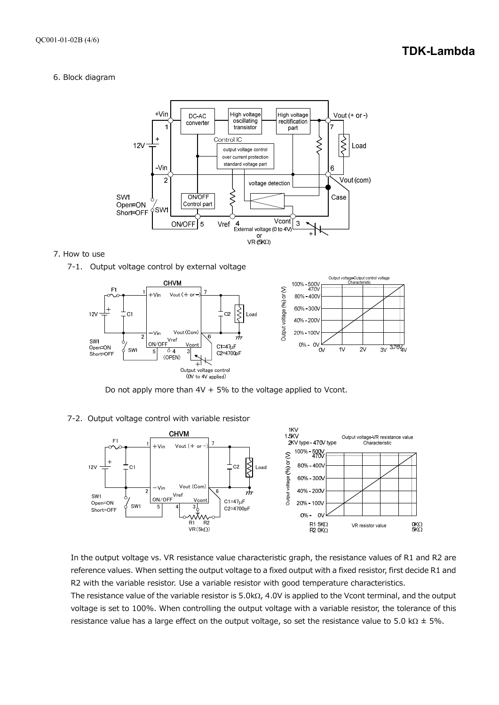# **TDK-Lambda**

#### 6. Block diagram



#### 7. How to use





Do not apply more than  $4V + 5%$  to the voltage applied to Vcont.

# 7-2. Output voltage control with variable resistor



In the output voltage vs. VR resistance value characteristic graph, the resistance values of R1 and R2 are reference values. When setting the output voltage to a fixed output with a fixed resistor, first decide R1 and R2 with the variable resistor. Use a variable resistor with good temperature characteristics.

The resistance value of the variable resistor is  $5.0k\Omega$ , 4.0V is applied to the Vcont terminal, and the output voltage is set to 100%. When controlling the output voltage with a variable resistor, the tolerance of this resistance value has a large effect on the output voltage, so set the resistance value to 5.0 k $\Omega$   $\pm$  5%.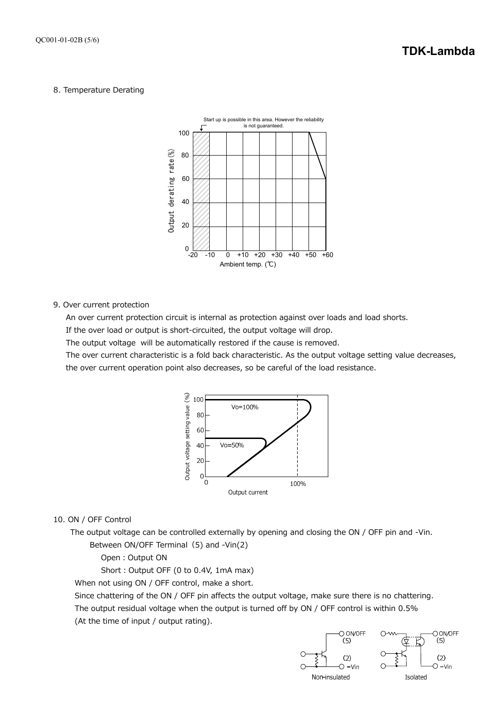#### 8. Temperature Derating



#### 9. Over current protection

An over current protection circuit is internal as protection against over loads and load shorts.

If the over load or output is short-circuited, the output voltage will drop.

The output voltage will be automatically restored if the cause is removed.

The over current characteristic is a fold back characteristic. As the output voltage setting value decreases, the over current operation point also decreases, so be careful of the load resistance.



#### 10. ON / OFF Control

The output voltage can be controlled externally by opening and closing the ON / OFF pin and -Vin.

Between ON/OFF Terminal (5) and -Vin(2)

Open: Output ON

Short: Output OFF (0 to 0.4V, 1mA max)

When not using ON / OFF control, make a short.

Since chattering of the ON / OFF pin affects the output voltage, make sure there is no chattering.

The output residual voltage when the output is turned off by ON / OFF control is within 0.5% (At the time of input / output rating).